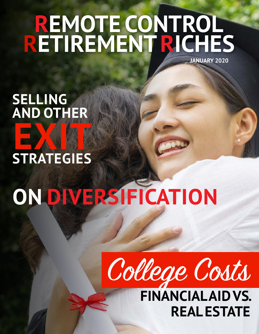## **REMOTE CONTROL RETIREMENTRICHES JANUARY 2020**

**SELLING AND OTHER** EXITE **STRATEGIES**

# **ON DIVERSIFICATION**



**FINANCIALAID VS. REAL ESTATE**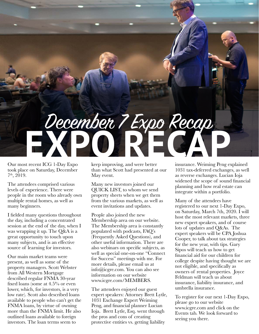# **EXPO RECAPE OF SURFACE AND** December 7 Expo Recap

Our most recent ICG 1-Day Expo took place on Saturday, December 7 th, 2019.

The attendees comprised various levels of experience. There were people in the room who already own multiple rental homes, as well as many beginners.

I fielded many questions throughout the day, including a concentrated session at the end of the day, when I was wrapping it up. The Q&A is a great opportunity to touch upon many subjects, and is an effective source of learning for investors.

Our main market teams were present, as well as some of the property managers. Scott Webster from All Western Mortgage described regular FNMA 30-year fixed loans (some at 4.5% or even lower, which, for investors, is a very low rate). Scott also described loans available to people who can't get the FNMA loans, by virtue of owning more than the FNMA limit. He also outlined loans available to foreign investors. The loan terms seem to

keep improving, and were better than what Scott had presented at our May event.

Many new investors joined our QUICK LIST, to whom we send property sheets when we get them from the various markets, as well as event invitations and updates.

People also joined the new Membership area on our website. The Membership area is constantly populated with podcasts, FAQ's (Frequently Asked Questions), and other useful information. There are also webinars on specific subjects, as well as special one-on-one "Connect for Success" meetings with me. For more details, please email us at info@icgre.com. You can also see information on our website www.icgre.com/MEMBERS.

The attendees enjoyed our guest expert speakers: Attorney Brett Lytle, 1031 Exchange Expert Weiming Peng, and financial planner Lucian Ioja. Brett Lytle, Esq. went through the pros and cons of creating protective entities vs. getting liability

insurance. Weiming Peng explained 1031 tax-deferred exchanges, as well as reverse exchanges. Lucian Ioja widened the scope of sound financial planning and how real estate can integrate within a portfolio.

Many of the attendees have registered to our next 1-Day Expo, on Saturday, March 7th, 2020. I will host the most relevant markets, three new expert speakers, and of course lots of updates and Q&As. The expert speakers will be CPA Joshua Cooper, to talk about tax strategies for the new year, with tips. Gary Sipos will teach us how to get financial aid for our children for college despite having thought we are not eligible, and specifically as owners of rental properties. Joyce Feldman will teach us about insurance, liability insurance, and umbrella insurance.

To register for our next 1-Day Expo, please go to our website www.icgre.com and click on the Events tab. We look forward to seeing you there.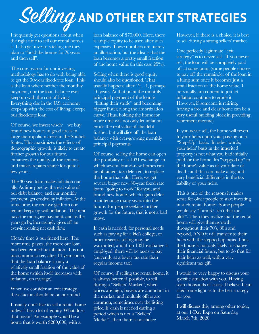## Selling **AND OTHER EXIT STRATEGIES**

I frequently get questions about when the right time to sell our rental homes is. I also get investors telling me they plan to "hold the homes for X years and then sell".

The core reason for our investing methodology has to do with being able to get the 30-year fixed-rate loan. This is the loan where neither the monthly payment, nor the loan balance ever keep up with the cost of living. Everything else in the U.S. economy keeps up with the cost of living, except our fixed-rate loan.

Of course, we invest wisely – we buy brand new homes in good areas in large metropolitan areas in the Sunbelt States. This maximizes the effects of demographic growth, is likely to create further growth for our future, enhances the quality of the tenants, and makes repairs scarce for quite a few years.

The 30-year loan makes inflation our ally. As time goes by, the real value of our debt balance, and our monthly payment, get eroded by inflation. At the same time, the rent we get from our tenant keeps up with inflation. The rent pays the mortgage payment, and as the years go by, increasingly gives off an ever-increasing net cash flow.

Clearly time is our friend here. The more time passes, the more our loan has been eroded by inflation. It is not uncommon to see, after 14 years or so, that the loan balance is only a relatively small fraction of the value of the home (which itself increases with inflation, on average).

When we consider an exit strategy, these factors should be on our mind.

I usually don't like to sell a rental home unless it has a lot of equity. What does that mean? An example would be a home that is worth \$280,000, with a

loan balance of \$70,000. Here, there is ample equity to be used after sales expenses. These numbers are merely an illustration, but the idea is that the loan becomes a pretty small fraction of the home value (in this case 25%).

Selling when there is good equity should also be questioned. That usually happens after 12, 14, perhaps 16 years. At that point the monthly principal payment of the loan is "hitting their stride" and becoming bigger faster, along the amortization curve. Thus, holding the home for more time will not only let inflation erode the real value of the debt further, but will slice off the loan balance with ever-growing monthly principal payments.

Of course, selling the home can open the possibility of a 1031 exchange, in which several brand-new homes can be obtained, tax-deferred, to replace the home that sold. Here, we get several bigger new 30-year fixed rate loans "going to work" for you, and brand new homes which again defer maintenance many years into the future. For people seeking further growth for the future, that is not a bad move.

If cash is needed, for personal needs such as paying for a kid's college, or other reasons, selling may be warranted, and if no 1031 exchange is employed, there will be taxes to pay (currently at a lower tax rate than regular income tax).

Of course, if selling the rental home, it is always better, if possible, to sell during a "Sellers' Market", when prices are high, buyers are abundant in the market, and multiple offers are common, sometimes over the listing price. If cash is needed during a period which is not a "Sellers' Market", then there is no choice.

However, if there is a choice, it is best to sell during a strong sellers' market.

One perfectly legitimate "exit strategy" is to never sell. If you never sell, the loan will be completely paid off at some point (some people choose to pay off the remainder of the loan in a lump sum once it becomes just a small fraction of the home value. I personally am content to just let inflation continue to erode it. However, if someone is retiring, having a free and clear home can be a very useful building block in providing retirement income).

If you never sell, the home will revert to your heirs upon your passing on a "Step-Up" basis. In other words, your heirs' basis in the inherited property is not what you had initially paid for the home. It's "stepped up" to the home's value as of your date of death, and this can make a big and very beneficial difference in the tax liability of your heirs.

This is one of the reasons it makes sense for older people to start investing in such rental homes. Some people would say "I am 67, isn't that too old?". Then they realize that the rental home will give them growth throughout their 70's, 80's and beyond, AND it will transfer to their heirs with the stepped-up basis. Thus, the house is not only likely to change their financial future, but to do that for their heirs as well, with a very significant tax gift.

I would be very happy to discuss your specific situation with you. Having seen thousands of cases, I believe I can shed some light as to the best strategy for you.

I will discuss this, among other topics, at our 1-Day Expo on Saturday, March 7th, 2020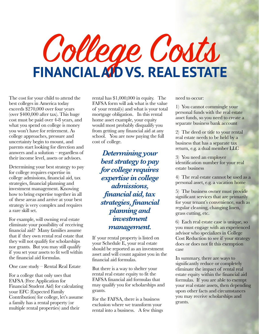# College Costs **FINANCIALAID VS. REAL ESTATE**

The cost for your child to attend the best colleges in America today exceeds \$270,000 over four years (over \$400,000 after tax). This huge cost must be paid over 4-8 years, and what you spend on college is money you won't have for retirement. As college approaches, pressure and uncertainty begin to mount, and parents start looking for direction and answers and a solution – regardless of their income level, assets or advisors.

Determining your best strategy to pay for college requires expertise in college admissions, financial aid, tax strategies, financial planning and investment management. Knowing how to bring expertise together in all of these areas and arrive at your best strategy is very complex and requires a rare skill set.

For example, will owning real estate eliminate your possibility of receiving financial aid? Many families assume that if they own rental real estate that they will not qualify for scholarships nor grants. But you may still qualify if you set your assets to fit well within the financial aid formulas.

One case study – Rental Real Estate

For a college that only uses that FAFSA (Free Application for Financial Student Aid) for calculating your EFC (Expected Family Contribution) for college, let's assume a family has a rental property (or multiple rental properties) and their

rental has \$1,000,000 in equity. The FAFSA form will ask what is the value of your rental(s) and what is your total mortgage obligation. In this rental home asset example, your equity would most probably disqualify you from getting any financial aid at any school. You are now paying the full cost of college.

*Determining your best strategy to pay for college requires expertise in college admissions, financial aid, tax strategies, financial planning and investment management.*

If your rental property is listed on your Schedule E, your real estate should be reported as an investment asset and will count against you in the financial aid formulas.

But there is a way to shelter your rental real estate equity to fit the FAFSA financial aid formulas that may qualify you for scholarships and grants.

For the FAFSA, there is a business exclusion where we transform your rental into a business. A few things need to occur:

1) You cannot commingle your personal funds with the real estate asset funds, so you need to create a separate business bank account

2) The deed or title to your rental real estate needs to be held by a business that has a separate tax return, e.g. a dual member LLC

3) You need an employer identification number for your real estate business

4) The real estate cannot be used as a personal asset, e.g. a vacation home

5) The business owner must provide significant services that are primarily for your tenant's convenience, such as regular cleaning, changing linen, grass cutting, etc.

6) Each real estate case is unique, so you must engage with an experienced advisor who specializes in College Cost Reduction to see if your strategy does or does not fit this exemption case

In summary, there are ways to significantly reduce or completely eliminate the impact of rental real estate equity within the financial aid formulas. If you are able to exempt your real estate assets, then depending upon other facts and circumstances you may receive scholarships and grants.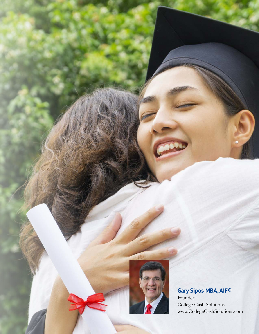

College Cash Solutions www.CollegeCashSolutions.com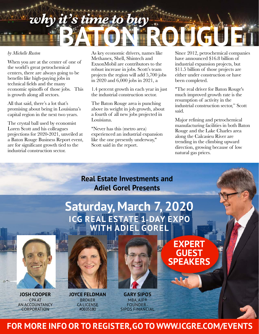## *why it's time to buy*

#### *by Michelle Ruston*

When you are at the center of one of the world's great petrochemical centers, there are always going to be benefits like high-paying jobs in technical fields and the many economic spinoffs of those jobs. This is growth along all sectors.

All that said, there's a lot that's promising about being in Louisiana's capital region in the next two years.

The crystal ball used by economist Loren Scott and his colleagues projections for 2020-2021, unveiled at a Baton Rouge Business Report event, are for significant growth tied to the industrial construction sector.

As key economic drivers, names like Methanex, Shell, Shintech and ExxonMobil are contributors to the robust increase in jobs. Scott's team projects the region will add 5,700 jobs in 2020 and 6,000 jobs in 2021, a

1.4 percent growth in each year in just the industrial construction sector.

The Baton Rouge area is punching above its weight in job growth, about a fourth of all new jobs projected in Louisiana.

"Never has this (metro area) experienced an industrial expansion like the one presently underway," Scott said in the report.

Since 2012, petrochemical companies have announced \$16.8 billion of industrial expansion projects, but \$11.5 billion of those projects are either under construction or have been completed.

**BATCH** 

"The real driver for Baton Rouge's much improved growth rate is the resumption of activity in the industrial construction sector," Scott said.

Major refining and petrochemical manufacturing facilities in both Baton Rouge and the Lake Charles area along the Calcasieu River are trending in the climbing upward direction, growing because of low natural gas prices.



**FOR MORE INFO OR TO REGISTER,GO TO WWW.ICGRE.COM/EVENTS**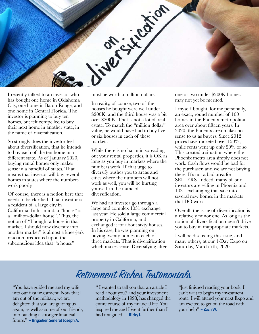

I recently talked to an investor who has bought one home in Oklahoma City, one home in Baton Rouge, and one home in Central Florida. The investor is planning to buy ten homes, but felt compelled to buy their next home in another state, in the name of diversification.

So strongly does the investor feel about diversification, that he intends to buy each of the ten home in a different state. As of January 2020, buying rental homes only makes sense in a handful of states. That means that investor will buy several homes in states where the numbers work poorly.

Of course, there is a notion here that needs to be clarified. That investor is a resident of a large city in California. In his mind, a "house" is a "million-dollar house". Thus, the notion of "I bought a house in that market. I should now diversify into another market" is almost a knee-jerk reaction predicated upon the subconscious idea that "a house"

must be worth a million dollars.

In reality, of course, two of the houses he bought were well under \$200K, and the third house was a bit over \$200K. That is not a lot of real estate. To match the "million dollar" value, he would have had to buy five or six houses in each of these markets.

While there is no harm in spreading out your rental properties, it is OK as long as you buy in markets where the numbers work. If that urge to diversify pushes you to areas and cities where the numbers will not work as well, you will be hurting yourself in the name of diversification.

We had an investor go through a large and complex 1031 exchange last year. He sold a large commercial property in California, and exchanged it for about sixty houses. In his case, he was planning on buying twenty homes in each of three markets. That is diversification which makes sense. Diversifying after one or two under-\$200K homes, may not yet be merited.

I myself bought, for me personally, an exact, round number of 100 homes in the Phoenix metropolitan area over about fifteen years. In 2020, the Phoenix area makes no sense to us as buyers. Since 2012 prices have rocketed over 150%, while rents went up only 20% or so. This created a situation where the Phoenix metro area simply does not work. Cash flows would be bad for the purchaser, and we are not buying there. It's not a bad area for SELLERS. Indeed, many of our investors are selling in Phoenix and 1031 exchanging that sale into several new homes in the markets that DO work.

Overall, the issue of diversification is a relatively minor one. As long as the notion of diversification doesn't drive you to buy in inappropriate markets.

I will be discussing this issue, and many others, at our 1-Day Expo on Saturday, March 7th, 2020.

### Retirement Riches Testimonials

"You have guided me and my wife into our first investment. Now that I am out of the military, we are delighted that you are guiding us again, as well as some of our friends, into building a stronger financial future." **– Brigadier General Joseph A.**

" I wanted to tell you that an article I read about you7 and your investment methodology in 1998, has changed the entire course of my financial life. You inspired me and I went further than I had imagined" **– Ricky L**

"Just finished reading your book. I can't wait to begin my investment route. I will attend your next Expo and am excited to get on the toad with your help" **– Zach W.**